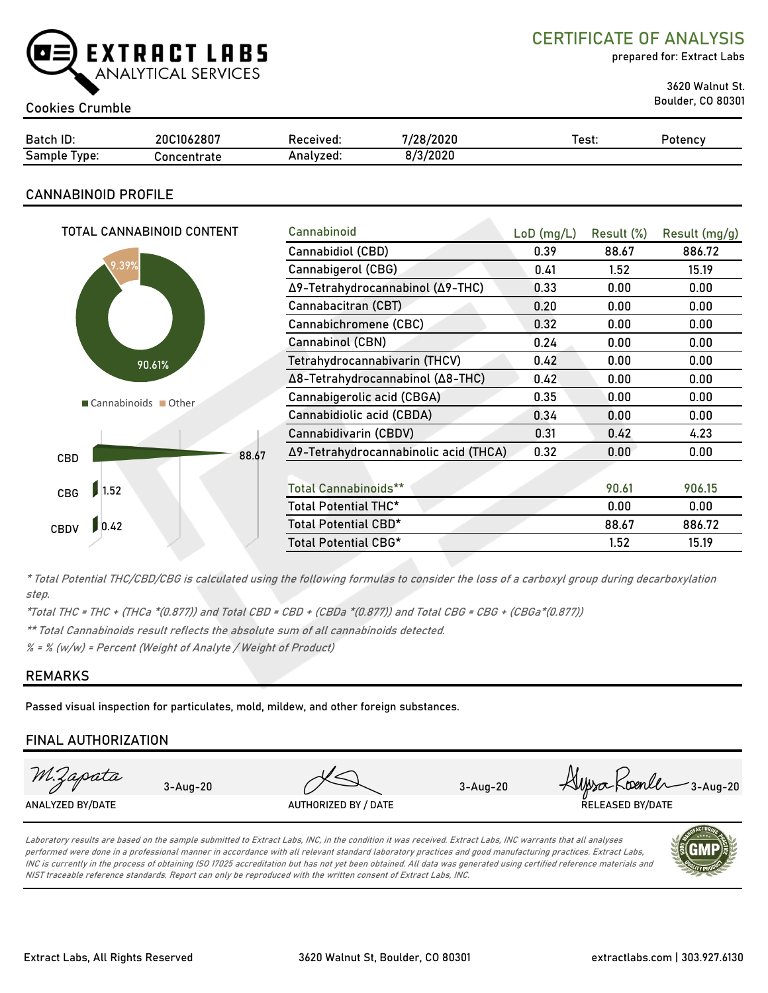

CERTIFICATE OF ANALYSIS

prepared for: Extract Labs

3620 Walnut St.

# Boulder, CO 80301 Cookies Crumble

| Batch ID:                       | 20C1062807          | eceived:         | /28/2020             | est: | Potency |
|---------------------------------|---------------------|------------------|----------------------|------|---------|
| $\sim$<br>Samr<br>l vpe:<br>וור | nncantratı<br>סומו. | nnn1170d<br>zea: | /2020<br>. <i>In</i> |      |         |

## CANNABINOID PROFILE

| TOTAL CANNABINOID CONTENT |       | Cannabinoid                           | $LoD$ (mg/L) | Result (%) | Result (mg/g) |
|---------------------------|-------|---------------------------------------|--------------|------------|---------------|
|                           |       | Cannabidiol (CBD)                     | 0.39         | 88.67      | 886.72        |
| 9.39%                     |       | Cannabigerol (CBG)                    | 0.41         | 1.52       | 15.19         |
|                           |       | Δ9-Tetrahydrocannabinol (Δ9-THC)      | 0.33         | 0.00       | 0.00          |
|                           |       | Cannabacitran (CBT)                   | 0.20         | 0.00       | 0.00          |
|                           |       | Cannabichromene (CBC)                 | 0.32         | 0.00       | 0.00          |
|                           |       | Cannabinol (CBN)                      | 0.24         | 0.00       | 0.00          |
| 90.61%                    |       | Tetrahydrocannabivarin (THCV)         | 0.42         | 0.00       | 0.00          |
|                           |       | Δ8-Tetrahydrocannabinol (Δ8-THC)      | 0.42         | 0.00       | 0.00          |
| Cannabinoids Other        |       | Cannabigerolic acid (CBGA)            | 0.35         | 0.00       | 0.00          |
|                           |       | Cannabidiolic acid (CBDA)             | 0.34         | 0.00       | 0.00          |
|                           |       | Cannabidivarin (CBDV)                 | 0.31         | 0.42       | 4.23          |
| CBD                       | 88.67 | Δ9-Tetrahydrocannabinolic acid (THCA) | 0.32         | 0.00       | 0.00          |
|                           |       |                                       |              |            |               |
| 1.52<br>CBG               |       | <b>Total Cannabinoids**</b>           |              | 90.61      | 906.15        |
|                           |       | Total Potential THC*                  |              | 0.00       | 0.00          |
| 0.42 <br><b>CBDV</b>      |       | Total Potential CBD*                  |              | 88.67      | 886.72        |
|                           |       | Total Potential CBG*                  |              | 1.52       | 15.19         |

\* Total Potential THC/CBD/CBG is calculated using the following formulas to consider the loss of a carboxyl group during decarboxylation step.

\*Total THC = THC + (THCa \*(0.877)) and Total CBD = CBD + (CBDa \*(0.877)) and Total CBG = CBG + (CBGa\*(0.877))

\*\* Total Cannabinoids result reflects the absolute sum of all cannabinoids detected.

 $% =$  % (w/w) = Percent (Weight of Analyte / Weight of Product)

#### REMARKS

Passed visual inspection for particulates, mold, mildew, and other foreign substances.

#### FINAL AUTHORIZATION



Laboratory results are based on the sample submitted to Extract Labs, INC, in the condition it was received. Extract Labs, INC warrants that all analyses performed were done in a professional manner in accordance with all relevant standard laboratory practices and good manufacturing practices. Extract Labs, INC is currently in the process of obtaining ISO 17025 accreditation but has not yet been obtained. All data was generated using certified reference materials and NIST traceable reference standards. Report can only be reproduced with the written consent of Extract Labs, INC.

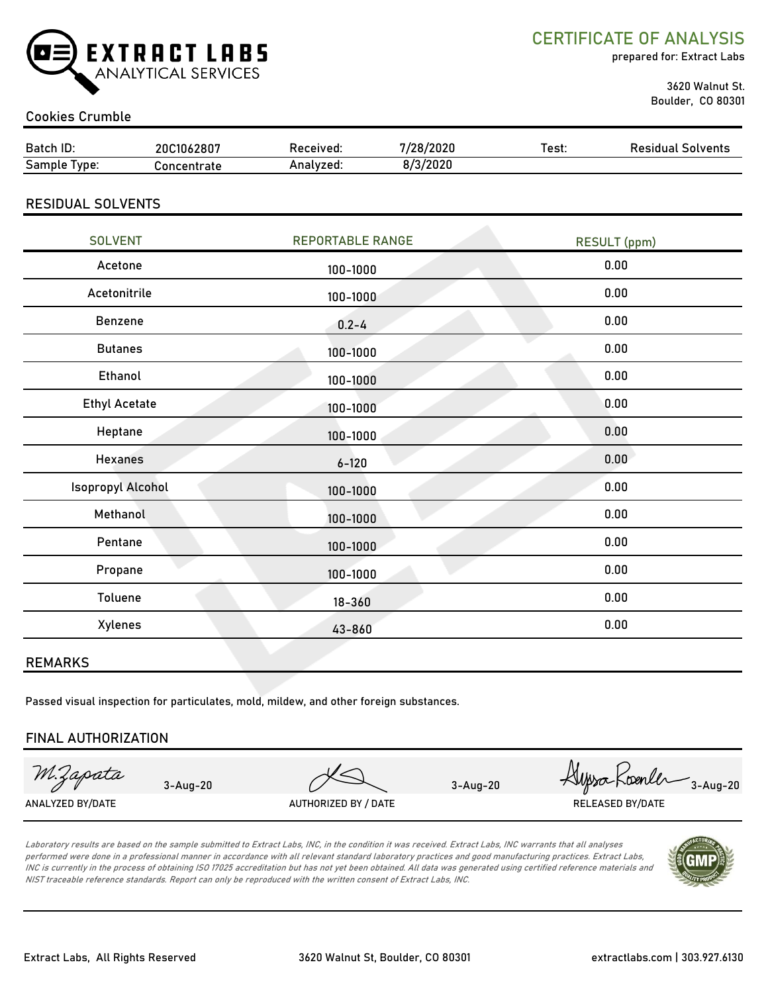

CERTIFICATE OF ANALYSIS

prepared for: Extract Labs

 3620 Walnut St. Boulder, CO 80301

#### Cookies Crumble

| Batch ID:                | 20C1062807  | Received:               | 7/28/2020 | Test:               | <b>Residual Solvents</b> |  |
|--------------------------|-------------|-------------------------|-----------|---------------------|--------------------------|--|
| Sample Type:             | Concentrate | Analyzed:               | 8/3/2020  |                     |                          |  |
| <b>RESIDUAL SOLVENTS</b> |             |                         |           |                     |                          |  |
| <b>SOLVENT</b>           |             | <b>REPORTABLE RANGE</b> |           | <b>RESULT</b> (ppm) |                          |  |
| Acetone                  |             | 100-1000                |           |                     | 0.00                     |  |
| Acetonitrile<br>100-1000 |             |                         | 0.00      |                     |                          |  |
| <b>Benzene</b>           |             | $0.2 - 4$               |           |                     | 0.00                     |  |
| <b>Butanes</b>           |             | 100-1000                |           |                     | 0.00                     |  |
| Ethanol                  |             | 100-1000                |           |                     | 0.00                     |  |
| <b>Ethyl Acetate</b>     |             | $100 - 1000$            |           | 0.00                |                          |  |

| <b>Ethyl Acetate</b>     | 100-1000     | 0.00 |
|--------------------------|--------------|------|
| Heptane                  | 100-1000     | 0.00 |
| <b>Hexanes</b>           | $6 - 120$    | 0.00 |
| <b>Isopropyl Alcohol</b> | $100 - 1000$ | 0.00 |
| Methanol                 | 100-1000     | 0.00 |
| Pentane                  | 100-1000     | 0.00 |
| Propane                  | 100-1000     | 0.00 |
| Toluene                  | $18 - 360$   | 0.00 |
| Xylenes                  | 43-860       | 0.00 |
|                          |              |      |

#### REMARKS

Passed visual inspection for particulates, mold, mildew, and other foreign substances.

#### FINAL AUTHORIZATION

M.Zapata

ANALYZED BY/DATE AUTHORIZED BY / DATE AUTHORIZED BY / DATE RELEASED BY/DATE

3-Aug-20 3-Aug-20 3-Aug-20

Laboratory results are based on the sample submitted to Extract Labs, INC, in the condition it was received. Extract Labs, INC warrants that all analyses performed were done in a professional manner in accordance with all relevant standard laboratory practices and good manufacturing practices. Extract Labs, INC is currently in the process of obtaining ISO 17025 accreditation but has not yet been obtained. All data was generated using certified reference materials and NIST traceable reference standards. Report can only be reproduced with the written consent of Extract Labs, INC.